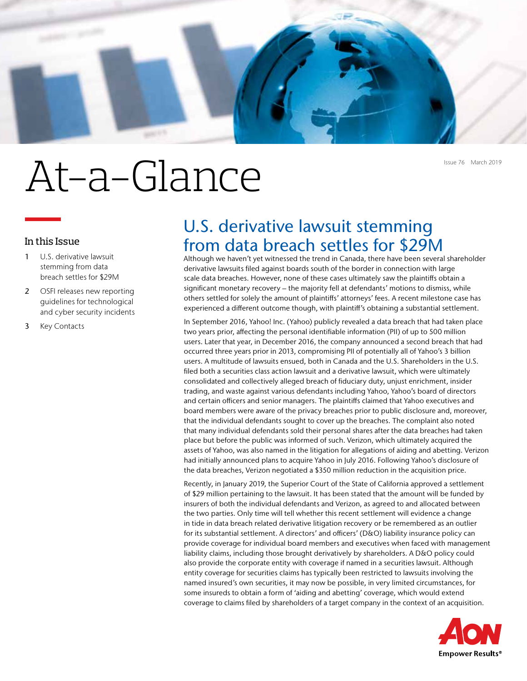

# At-a-Glance

### In this Issue

- 1 U.S. derivative lawsuit stemming from data breach settles for \$29M
- 2 OSFI releases new reporting guidelines for technological and cyber security incidents
- 3 Key Contacts

## U.S. derivative lawsuit stemming from data breach settles for \$29M

Although we haven't yet witnessed the trend in Canada, there have been several shareholder derivative lawsuits filed against boards south of the border in connection with large scale data breaches. However, none of these cases ultimately saw the plaintiffs obtain a significant monetary recovery – the majority fell at defendants' motions to dismiss, while others settled for solely the amount of plaintiffs' attorneys' fees. A recent milestone case has experienced a different outcome though, with plaintiff's obtaining a substantial settlement.

In September 2016, Yahoo! Inc. (Yahoo) publicly revealed a data breach that had taken place two years prior, affecting the personal identifiable information (PII) of up to 500 million users. Later that year, in December 2016, the company announced a second breach that had occurred three years prior in 2013, compromising PII of potentially all of Yahoo's 3 billion users. A multitude of lawsuits ensued, both in Canada and the U.S. Shareholders in the U.S. filed both a securities class action lawsuit and a derivative lawsuit, which were ultimately consolidated and collectively alleged breach of fiduciary duty, unjust enrichment, insider trading, and waste against various defendants including Yahoo, Yahoo's board of directors and certain officers and senior managers. The plaintiffs claimed that Yahoo executives and board members were aware of the privacy breaches prior to public disclosure and, moreover, that the individual defendants sought to cover up the breaches. The complaint also noted that many individual defendants sold their personal shares after the data breaches had taken place but before the public was informed of such. Verizon, which ultimately acquired the assets of Yahoo, was also named in the litigation for allegations of aiding and abetting. Verizon had initially announced plans to acquire Yahoo in July 2016. Following Yahoo's disclosure of the data breaches, Verizon negotiated a \$350 million reduction in the acquisition price.

Recently, in January 2019, the Superior Court of the State of California approved a settlement of \$29 million pertaining to the lawsuit. It has been stated that the amount will be funded by insurers of both the individual defendants and Verizon, as agreed to and allocated between the two parties. Only time will tell whether this recent settlement will evidence a change in tide in data breach related derivative litigation recovery or be remembered as an outlier for its substantial settlement. A directors' and officers' (D&O) liability insurance policy can provide coverage for individual board members and executives when faced with management liability claims, including those brought derivatively by shareholders. A D&O policy could also provide the corporate entity with coverage if named in a securities lawsuit. Although entity coverage for securities claims has typically been restricted to lawsuits involving the named insured's own securities, it may now be possible, in very limited circumstances, for some insureds to obtain a form of 'aiding and abetting' coverage, which would extend coverage to claims filed by shareholders of a target company in the context of an acquisition.

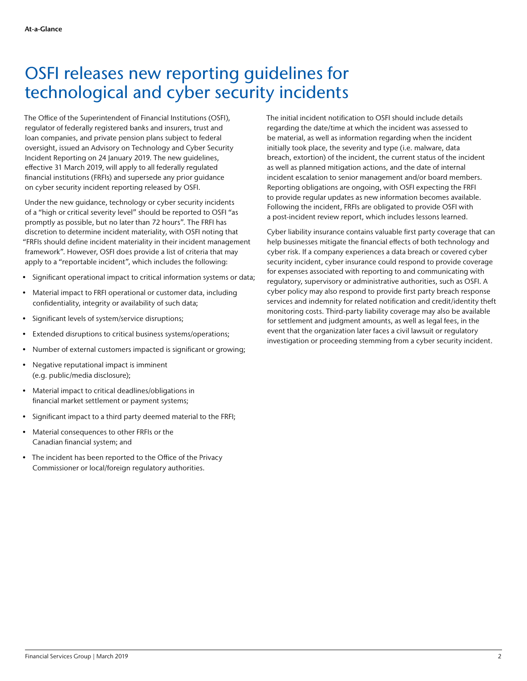## OSFI releases new reporting guidelines for technological and cyber security incidents

The Office of the Superintendent of Financial Institutions (OSFI), regulator of federally registered banks and insurers, trust and loan companies, and private pension plans subject to federal oversight, issued an Advisory on Technology and Cyber Security Incident Reporting on 24 January 2019. The new guidelines, effective 31 March 2019, will apply to all federally regulated financial institutions (FRFIs) and supersede any prior guidance on cyber security incident reporting released by OSFI.

Under the new guidance, technology or cyber security incidents of a "high or critical severity level" should be reported to OSFI "as promptly as possible, but no later than 72 hours". The FRFI has discretion to determine incident materiality, with OSFI noting that "FRFIs should define incident materiality in their incident management framework". However, OSFI does provide a list of criteria that may apply to a "reportable incident", which includes the following:

- Significant operational impact to critical information systems or data;
- Material impact to FRFI operational or customer data, including confidentiality, integrity or availability of such data;
- Significant levels of system/service disruptions;
- Extended disruptions to critical business systems/operations;
- Number of external customers impacted is significant or growing;
- Negative reputational impact is imminent (e.g. public/media disclosure);
- Material impact to critical deadlines/obligations in financial market settlement or payment systems;
- Significant impact to a third party deemed material to the FRFI;
- Material consequences to other FRFIs or the Canadian financial system; and
- The incident has been reported to the Office of the Privacy Commissioner or local/foreign regulatory authorities.

The initial incident notification to OSFI should include details regarding the date/time at which the incident was assessed to be material, as well as information regarding when the incident initially took place, the severity and type (i.e. malware, data breach, extortion) of the incident, the current status of the incident as well as planned mitigation actions, and the date of internal incident escalation to senior management and/or board members. Reporting obligations are ongoing, with OSFI expecting the FRFI to provide regular updates as new information becomes available. Following the incident, FRFIs are obligated to provide OSFI with a post-incident review report, which includes lessons learned.

Cyber liability insurance contains valuable first party coverage that can help businesses mitigate the financial effects of both technology and cyber risk. If a company experiences a data breach or covered cyber security incident, cyber insurance could respond to provide coverage for expenses associated with reporting to and communicating with regulatory, supervisory or administrative authorities, such as OSFI. A cyber policy may also respond to provide first party breach response services and indemnity for related notification and credit/identity theft monitoring costs. Third-party liability coverage may also be available for settlement and judgment amounts, as well as legal fees, in the event that the organization later faces a civil lawsuit or regulatory investigation or proceeding stemming from a cyber security incident.